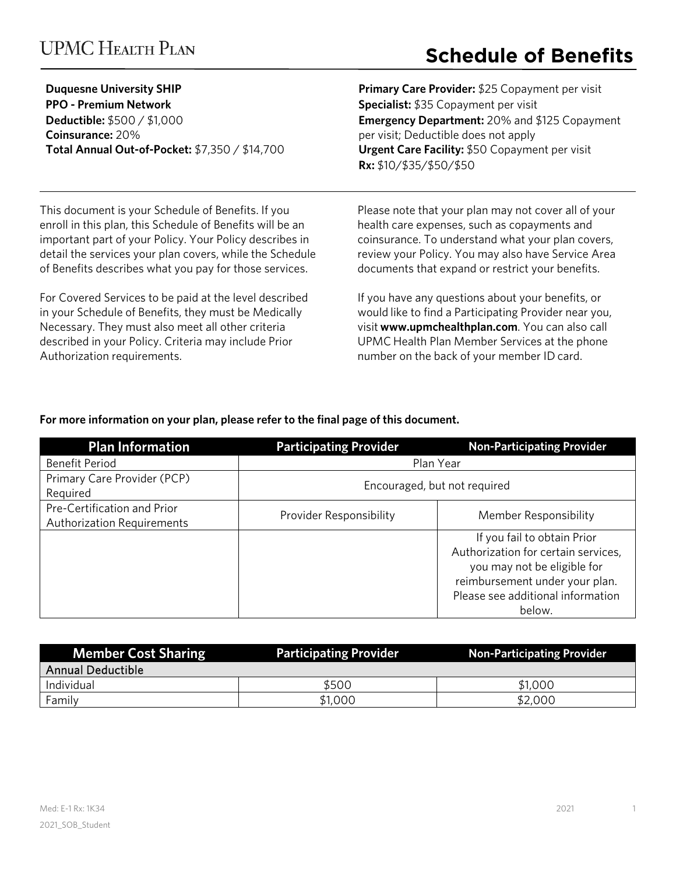## **UPMC HEALTH PLAN**

# **Schedule of Benefits**

| <b>Duquesne University SHIP</b>                |
|------------------------------------------------|
| <b>PPO - Premium Network</b>                   |
| <b>Deductible:</b> \$500 / \$1,000             |
| <b>Coinsurance: 20%</b>                        |
| Total Annual Out-of-Pocket: \$7,350 / \$14,700 |

**Primary Care Provider:** \$25 Copayment per visit **Specialist:** \$35 Copayment per visit **Emergency Department:** 20% and \$125 Copayment per visit; Deductible does not apply **Urgent Care Facility:** \$50 Copayment per visit **Rx:** \$10/\$35/\$50/\$50

This document is your Schedule of Benefits. If you enroll in this plan, this Schedule of Benefits will be an important part of your Policy. Your Policy describes in detail the services your plan covers, while the Schedule of Benefits describes what you pay for those services.

For Covered Services to be paid at the level described in your Schedule of Benefits, they must be Medically Necessary. They must also meet all other criteria described in your Policy. Criteria may include Prior Authorization requirements.

Please note that your plan may not cover all of your health care expenses, such as copayments and coinsurance. To understand what your plan covers, review your Policy. You may also have Service Area documents that expand or restrict your benefits.

If you have any questions about your benefits, or would like to find a Participating Provider near you, visit **www.upmchealthplan.com**. You can also call UPMC Health Plan Member Services at the phone number on the back of your member ID card.

### **For more information on your plan, please refer to the final page of this document.**

| <b>Plan Information</b>                                          | <b>Participating Provider</b> | <b>Non-Participating Provider</b>                                                                                                                                                  |
|------------------------------------------------------------------|-------------------------------|------------------------------------------------------------------------------------------------------------------------------------------------------------------------------------|
| <b>Benefit Period</b>                                            | Plan Year                     |                                                                                                                                                                                    |
| Primary Care Provider (PCP)<br>Required                          |                               | Encouraged, but not required                                                                                                                                                       |
| Pre-Certification and Prior<br><b>Authorization Requirements</b> | Provider Responsibility       | Member Responsibility                                                                                                                                                              |
|                                                                  |                               | If you fail to obtain Prior<br>Authorization for certain services,<br>you may not be eligible for<br>reimbursement under your plan.<br>Please see additional information<br>below. |

| <b>Member Cost Sharing</b> | <b>Participating Provider</b> | <b>Non-Participating Provider</b> |
|----------------------------|-------------------------------|-----------------------------------|
| <b>Annual Deductible</b>   |                               |                                   |
| Individual                 | \$500                         | \$1,000                           |
| Family                     | \$1,000                       | \$2,000                           |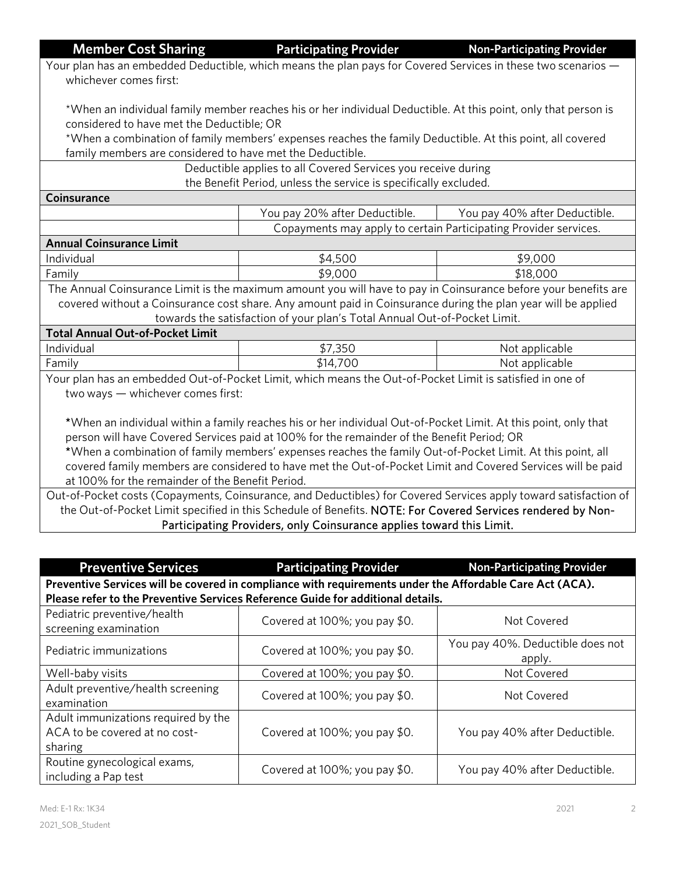**Member Cost Sharing Transform Participating Provider Cost Sharing Provider Results** 

Your plan has an embedded Deductible, which means the plan pays for Covered Services in these two scenarios whichever comes first:

\*When an individual family member reaches his or her individual Deductible. At this point, only that person is considered to have met the Deductible; OR

\*When a combination of family members' expenses reaches the family Deductible. At this point, all covered family members are considered to have met the Deductible.

> Deductible applies to all Covered Services you receive during the Benefit Period, unless the service is specifically excluded.

**Coinsurance** 

|                                 | You pay 20% after Deductible. | You pay 40% after Deductible.                                    |
|---------------------------------|-------------------------------|------------------------------------------------------------------|
|                                 |                               | Copayments may apply to certain Participating Provider services. |
| <b>Annual Coinsurance Limit</b> |                               |                                                                  |
| Individual                      | \$4.500                       | \$9,000                                                          |
|                                 | .                             | .                                                                |

Family \$9,000  $\uparrow$  \$9,000 \$18,000 The Annual Coinsurance Limit is the maximum amount you will have to pay in Coinsurance before your benefits are covered without a Coinsurance cost share. Any amount paid in Coinsurance during the plan year will be applied towards the satisfaction of your plan's Total Annual Out-of-Pocket Limit.

| Total Annual Out-of-Pocket Limit |          |                |
|----------------------------------|----------|----------------|
| Individual                       | \$7,350  | Not applicable |
| Family                           | \$14,700 | Not applicable |

Your plan has an embedded Out-of-Pocket Limit, which means the Out-of-Pocket Limit is satisfied in one of two ways — whichever comes first:

\*When an individual within a family reaches his or her individual Out-of-Pocket Limit. At this point, only that person will have Covered Services paid at 100% for the remainder of the Benefit Period; OR

\*When a combination of family members' expenses reaches the family Out-of-Pocket Limit. At this point, all covered family members are considered to have met the Out-of-Pocket Limit and Covered Services will be paid at 100% for the remainder of the Benefit Period.

Out-of-Pocket costs (Copayments, Coinsurance, and Deductibles) for Covered Services apply toward satisfaction of the Out-of-Pocket Limit specified in this Schedule of Benefits. NOTE: For Covered Services rendered by Non-Participating Providers, only Coinsurance applies toward this Limit.

| <b>Preventive Services</b>                                                                               | <b>Participating Provider</b>     | <b>Non-Participating Provider</b>          |
|----------------------------------------------------------------------------------------------------------|-----------------------------------|--------------------------------------------|
| Preventive Services will be covered in compliance with requirements under the Affordable Care Act (ACA). |                                   |                                            |
| Please refer to the Preventive Services Reference Guide for additional details.                          |                                   |                                            |
| Pediatric preventive/health<br>screening examination                                                     | Covered at 100%; you pay \$0.     | Not Covered                                |
| Pediatric immunizations                                                                                  | Covered at 100%; you pay \$0.     | You pay 40%. Deductible does not<br>apply. |
| Well-baby visits                                                                                         | Covered at $100\%$ ; you pay \$0. | Not Covered                                |
| Adult preventive/health screening<br>examination                                                         | Covered at 100%; you pay \$0.     | Not Covered                                |
| Adult immunizations required by the<br>ACA to be covered at no cost-<br>sharing                          | Covered at 100%; you pay \$0.     | You pay 40% after Deductible.              |
| Routine gynecological exams,<br>including a Pap test                                                     | Covered at 100%; you pay \$0.     | You pay 40% after Deductible.              |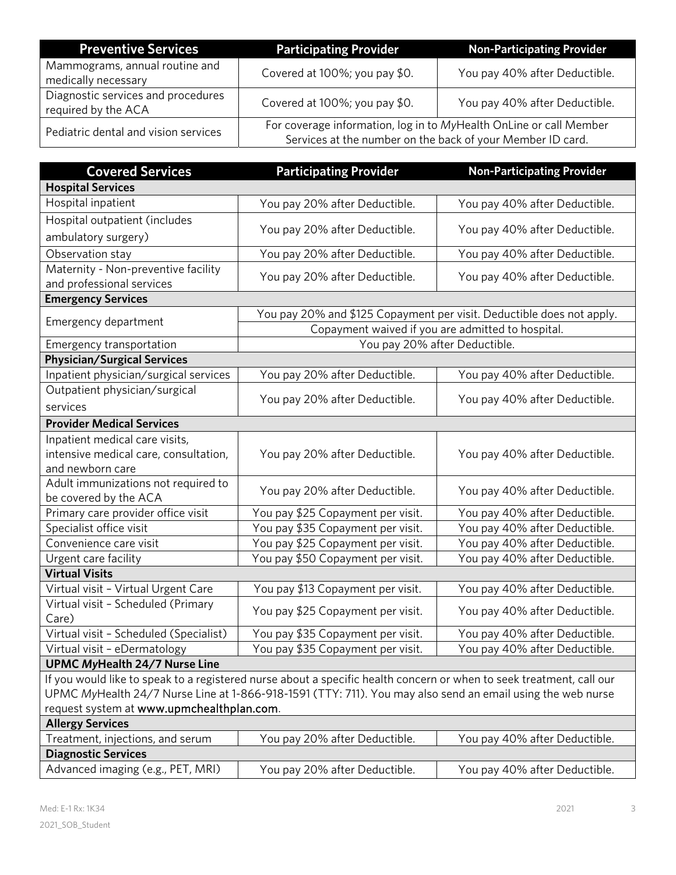| <b>Preventive Services</b>                                | <b>Participating Provider</b>                              | <b>Non-Participating Provider</b>                                  |
|-----------------------------------------------------------|------------------------------------------------------------|--------------------------------------------------------------------|
| Mammograms, annual routine and<br>medically necessary     | Covered at 100%; you pay \$0.                              | You pay 40% after Deductible.                                      |
| Diagnostic services and procedures<br>required by the ACA | Covered at 100%; you pay \$0.                              | You pay 40% after Deductible.                                      |
| Pediatric dental and vision services                      | Services at the number on the back of your Member ID card. | For coverage information, log in to MyHealth OnLine or call Member |

| <b>Covered Services</b>                   | <b>Participating Provider</b>                                                                                        | <b>Non-Participating Provider</b>                                     |
|-------------------------------------------|----------------------------------------------------------------------------------------------------------------------|-----------------------------------------------------------------------|
| <b>Hospital Services</b>                  |                                                                                                                      |                                                                       |
| Hospital inpatient                        | You pay 20% after Deductible.                                                                                        | You pay 40% after Deductible.                                         |
| Hospital outpatient (includes             |                                                                                                                      |                                                                       |
| ambulatory surgery)                       | You pay 20% after Deductible.                                                                                        | You pay 40% after Deductible.                                         |
| Observation stay                          | You pay 20% after Deductible.                                                                                        | You pay 40% after Deductible.                                         |
| Maternity - Non-preventive facility       | You pay 20% after Deductible.                                                                                        | You pay 40% after Deductible.                                         |
| and professional services                 |                                                                                                                      |                                                                       |
| <b>Emergency Services</b>                 |                                                                                                                      |                                                                       |
| Emergency department                      |                                                                                                                      | You pay 20% and \$125 Copayment per visit. Deductible does not apply. |
|                                           |                                                                                                                      | Copayment waived if you are admitted to hospital.                     |
| Emergency transportation                  | You pay 20% after Deductible.                                                                                        |                                                                       |
| <b>Physician/Surgical Services</b>        |                                                                                                                      |                                                                       |
| Inpatient physician/surgical services     | You pay 20% after Deductible.                                                                                        | You pay 40% after Deductible.                                         |
| Outpatient physician/surgical             | You pay 20% after Deductible.                                                                                        | You pay 40% after Deductible.                                         |
| services                                  |                                                                                                                      |                                                                       |
| <b>Provider Medical Services</b>          |                                                                                                                      |                                                                       |
| Inpatient medical care visits,            |                                                                                                                      |                                                                       |
| intensive medical care, consultation,     | You pay 20% after Deductible.                                                                                        | You pay 40% after Deductible.                                         |
| and newborn care                          |                                                                                                                      |                                                                       |
| Adult immunizations not required to       | You pay 20% after Deductible.                                                                                        | You pay 40% after Deductible.                                         |
| be covered by the ACA                     |                                                                                                                      |                                                                       |
| Primary care provider office visit        | You pay \$25 Copayment per visit.                                                                                    | You pay 40% after Deductible.                                         |
| Specialist office visit                   | You pay \$35 Copayment per visit.                                                                                    | You pay 40% after Deductible.                                         |
| Convenience care visit                    | You pay \$25 Copayment per visit.                                                                                    | You pay 40% after Deductible.                                         |
| Urgent care facility                      | You pay \$50 Copayment per visit.                                                                                    | You pay 40% after Deductible.                                         |
| <b>Virtual Visits</b>                     |                                                                                                                      |                                                                       |
| Virtual visit - Virtual Urgent Care       | You pay \$13 Copayment per visit.                                                                                    | You pay 40% after Deductible.                                         |
| Virtual visit - Scheduled (Primary        | You pay \$25 Copayment per visit.                                                                                    | You pay 40% after Deductible.                                         |
| Care)                                     |                                                                                                                      |                                                                       |
| Virtual visit - Scheduled (Specialist)    | You pay \$35 Copayment per visit.                                                                                    | You pay 40% after Deductible.                                         |
| Virtual visit - eDermatology              | You pay \$35 Copayment per visit.                                                                                    | You pay 40% after Deductible.                                         |
| <b>UPMC MyHealth 24/7 Nurse Line</b>      |                                                                                                                      |                                                                       |
|                                           | If you would like to speak to a registered nurse about a specific health concern or when to seek treatment, call our |                                                                       |
|                                           | UPMC MyHealth 24/7 Nurse Line at 1-866-918-1591 (TTY: 711). You may also send an email using the web nurse           |                                                                       |
| request system at www.upmchealthplan.com. |                                                                                                                      |                                                                       |
| <b>Allergy Services</b>                   |                                                                                                                      |                                                                       |
| Treatment, injections, and serum          | You pay 20% after Deductible.                                                                                        | You pay 40% after Deductible.                                         |
| <b>Diagnostic Services</b>                |                                                                                                                      |                                                                       |
| Advanced imaging (e.g., PET, MRI)         | You pay 20% after Deductible.                                                                                        | You pay 40% after Deductible.                                         |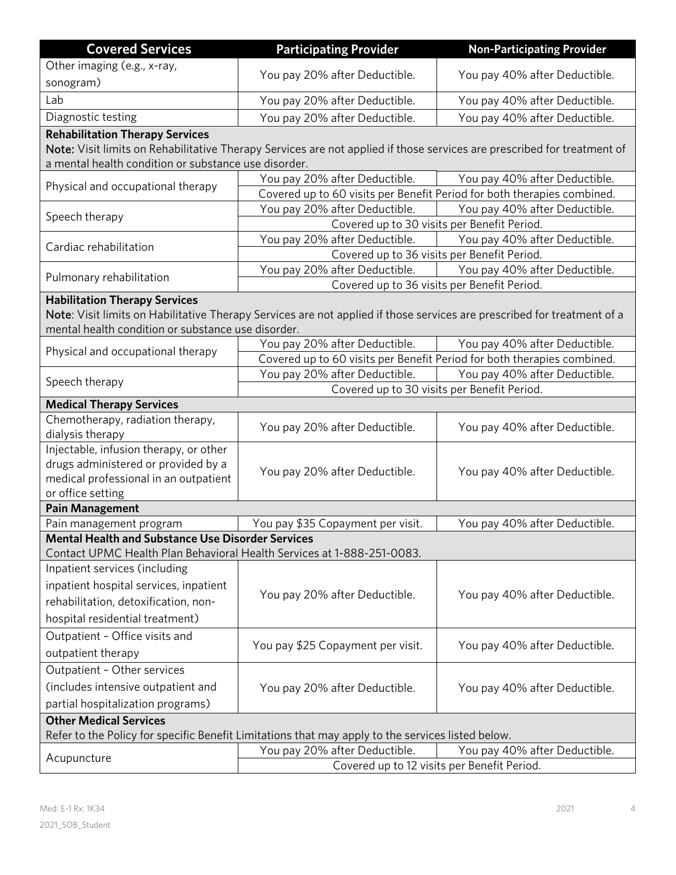| <b>Covered Services</b>                                                                                                            | <b>Participating Provider</b>                                                                                           | <b>Non-Participating Provider</b>                                            |
|------------------------------------------------------------------------------------------------------------------------------------|-------------------------------------------------------------------------------------------------------------------------|------------------------------------------------------------------------------|
| Other imaging (e.g., x-ray,                                                                                                        |                                                                                                                         |                                                                              |
| sonogram)                                                                                                                          | You pay 20% after Deductible.                                                                                           | You pay 40% after Deductible.                                                |
| Lab                                                                                                                                | You pay 20% after Deductible.                                                                                           | You pay 40% after Deductible.                                                |
| Diagnostic testing                                                                                                                 | You pay 20% after Deductible.                                                                                           | You pay 40% after Deductible.                                                |
| <b>Rehabilitation Therapy Services</b>                                                                                             |                                                                                                                         |                                                                              |
|                                                                                                                                    | Note: Visit limits on Rehabilitative Therapy Services are not applied if those services are prescribed for treatment of |                                                                              |
| a mental health condition or substance use disorder.                                                                               |                                                                                                                         |                                                                              |
| Physical and occupational therapy                                                                                                  | You pay 20% after Deductible.                                                                                           | You pay 40% after Deductible.                                                |
|                                                                                                                                    |                                                                                                                         | Covered up to 60 visits per Benefit Period for both therapies combined.      |
| Speech therapy                                                                                                                     | You pay 20% after Deductible.                                                                                           | You pay 40% after Deductible.<br>Covered up to 30 visits per Benefit Period. |
|                                                                                                                                    | You pay 20% after Deductible.                                                                                           | You pay 40% after Deductible.                                                |
| Cardiac rehabilitation                                                                                                             |                                                                                                                         | Covered up to 36 visits per Benefit Period.                                  |
|                                                                                                                                    | You pay 20% after Deductible.                                                                                           | You pay 40% after Deductible.                                                |
| Pulmonary rehabilitation                                                                                                           |                                                                                                                         | Covered up to 36 visits per Benefit Period.                                  |
| <b>Habilitation Therapy Services</b>                                                                                               |                                                                                                                         |                                                                              |
|                                                                                                                                    | Note: Visit limits on Habilitative Therapy Services are not applied if those services are prescribed for treatment of a |                                                                              |
| mental health condition or substance use disorder.                                                                                 |                                                                                                                         |                                                                              |
| Physical and occupational therapy                                                                                                  | You pay 20% after Deductible.                                                                                           | You pay 40% after Deductible.                                                |
|                                                                                                                                    |                                                                                                                         | Covered up to 60 visits per Benefit Period for both therapies combined.      |
| Speech therapy                                                                                                                     | You pay 20% after Deductible.                                                                                           | You pay 40% after Deductible.                                                |
| <b>Medical Therapy Services</b>                                                                                                    |                                                                                                                         | Covered up to 30 visits per Benefit Period.                                  |
| Chemotherapy, radiation therapy,                                                                                                   |                                                                                                                         |                                                                              |
| dialysis therapy                                                                                                                   | You pay 20% after Deductible.                                                                                           | You pay 40% after Deductible.                                                |
| Injectable, infusion therapy, or other                                                                                             |                                                                                                                         |                                                                              |
| drugs administered or provided by a                                                                                                | You pay 20% after Deductible.                                                                                           | You pay 40% after Deductible.                                                |
| medical professional in an outpatient                                                                                              |                                                                                                                         |                                                                              |
| or office setting                                                                                                                  |                                                                                                                         |                                                                              |
| <b>Pain Management</b>                                                                                                             |                                                                                                                         |                                                                              |
| Pain management program                                                                                                            | You pay \$35 Copayment per visit.                                                                                       | You pay 40% after Deductible.                                                |
| <b>Mental Health and Substance Use Disorder Services</b><br>Contact UPMC Health Plan Behavioral Health Services at 1-888-251-0083. |                                                                                                                         |                                                                              |
| Inpatient services (including                                                                                                      |                                                                                                                         |                                                                              |
| inpatient hospital services, inpatient                                                                                             |                                                                                                                         |                                                                              |
| rehabilitation, detoxification, non-                                                                                               | You pay 20% after Deductible.                                                                                           | You pay 40% after Deductible.                                                |
| hospital residential treatment)                                                                                                    |                                                                                                                         |                                                                              |
| Outpatient - Office visits and                                                                                                     |                                                                                                                         |                                                                              |
| outpatient therapy                                                                                                                 | You pay \$25 Copayment per visit.                                                                                       | You pay 40% after Deductible.                                                |
| Outpatient - Other services                                                                                                        |                                                                                                                         |                                                                              |
| (includes intensive outpatient and                                                                                                 | You pay 20% after Deductible.                                                                                           | You pay 40% after Deductible.                                                |
| partial hospitalization programs)                                                                                                  |                                                                                                                         |                                                                              |
| <b>Other Medical Services</b>                                                                                                      |                                                                                                                         |                                                                              |
| Refer to the Policy for specific Benefit Limitations that may apply to the services listed below.                                  |                                                                                                                         |                                                                              |
|                                                                                                                                    | You pay 20% after Deductible.                                                                                           | You pay 40% after Deductible.                                                |
| Acupuncture                                                                                                                        |                                                                                                                         | Covered up to 12 visits per Benefit Period.                                  |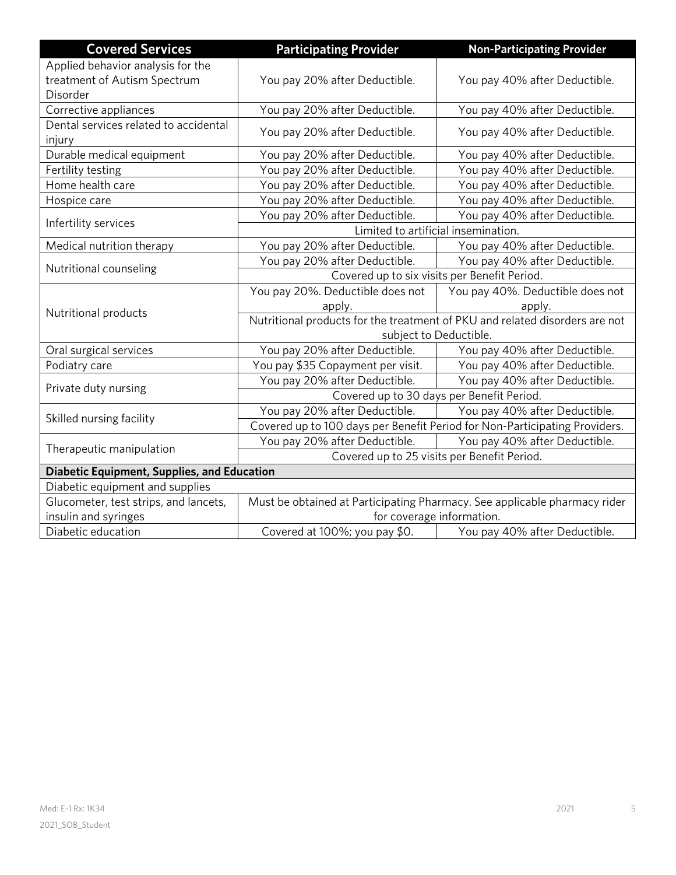| <b>Covered Services</b>                                                    | <b>Participating Provider</b>                                               | <b>Non-Participating Provider</b>                                         |
|----------------------------------------------------------------------------|-----------------------------------------------------------------------------|---------------------------------------------------------------------------|
| Applied behavior analysis for the                                          |                                                                             |                                                                           |
| treatment of Autism Spectrum                                               | You pay 20% after Deductible.                                               | You pay 40% after Deductible.                                             |
| Disorder                                                                   |                                                                             |                                                                           |
| Corrective appliances                                                      | You pay 20% after Deductible.                                               | You pay 40% after Deductible.                                             |
| Dental services related to accidental                                      | You pay 20% after Deductible.                                               | You pay 40% after Deductible.                                             |
| injury                                                                     |                                                                             |                                                                           |
| Durable medical equipment                                                  | You pay 20% after Deductible.                                               | You pay 40% after Deductible.                                             |
| Fertility testing                                                          | You pay 20% after Deductible.                                               | You pay 40% after Deductible.                                             |
| Home health care                                                           | You pay 20% after Deductible.                                               | You pay 40% after Deductible.                                             |
| Hospice care                                                               | You pay 20% after Deductible.                                               | You pay 40% after Deductible.                                             |
| Infertility services                                                       | You pay 20% after Deductible.                                               | You pay 40% after Deductible.                                             |
|                                                                            | Limited to artificial insemination.                                         |                                                                           |
| Medical nutrition therapy                                                  | You pay 20% after Deductible.                                               | You pay 40% after Deductible.                                             |
|                                                                            | You pay 20% after Deductible.                                               | You pay 40% after Deductible.                                             |
| Nutritional counseling<br>Covered up to six visits per Benefit Period.     |                                                                             |                                                                           |
|                                                                            | You pay 20%. Deductible does not                                            | You pay 40%. Deductible does not                                          |
| Nutritional products                                                       | apply.                                                                      | apply.                                                                    |
|                                                                            | Nutritional products for the treatment of PKU and related disorders are not |                                                                           |
|                                                                            |                                                                             | subject to Deductible.                                                    |
| Oral surgical services                                                     | You pay 20% after Deductible.                                               | You pay 40% after Deductible.                                             |
| Podiatry care                                                              | You pay \$35 Copayment per visit.                                           | You pay 40% after Deductible.                                             |
| Private duty nursing                                                       | You pay 20% after Deductible.                                               | You pay 40% after Deductible.                                             |
| Covered up to 30 days per Benefit Period.                                  |                                                                             |                                                                           |
| Skilled nursing facility                                                   | You pay 20% after Deductible.                                               | You pay 40% after Deductible.                                             |
| Covered up to 100 days per Benefit Period for Non-Participating Providers. |                                                                             |                                                                           |
| Therapeutic manipulation                                                   | You pay 20% after Deductible.                                               | You pay 40% after Deductible.                                             |
|                                                                            | Covered up to 25 visits per Benefit Period.                                 |                                                                           |
| <b>Diabetic Equipment, Supplies, and Education</b>                         |                                                                             |                                                                           |
| Diabetic equipment and supplies                                            |                                                                             |                                                                           |
| Glucometer, test strips, and lancets,                                      |                                                                             | Must be obtained at Participating Pharmacy. See applicable pharmacy rider |
| insulin and syringes                                                       | for coverage information.                                                   |                                                                           |
| Diabetic education                                                         | Covered at 100%; you pay \$0.                                               | You pay 40% after Deductible.                                             |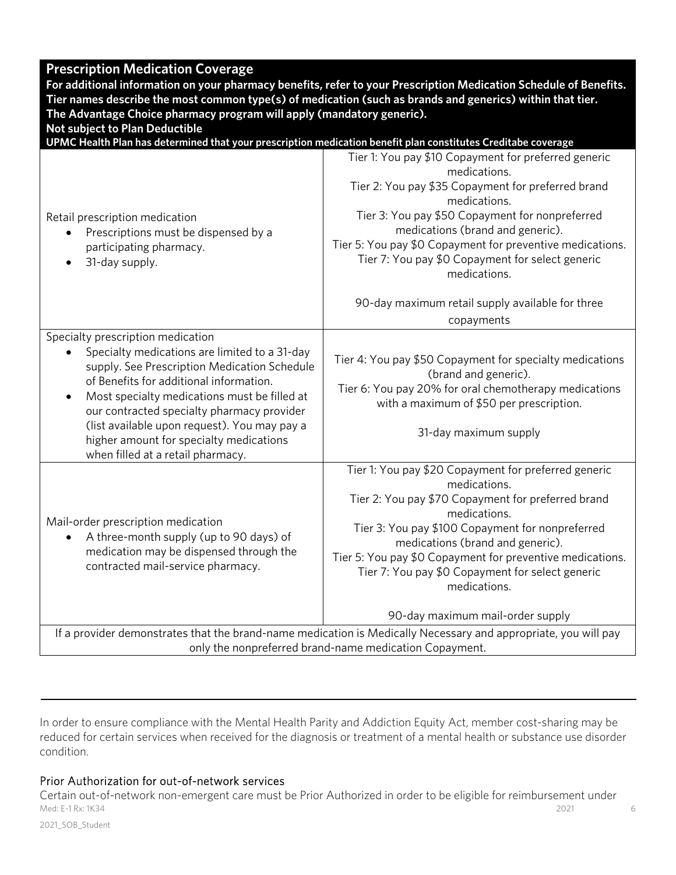## **Prescription Medication Coverage**

**For additional information on your pharmacy benefits, refer to your Prescription Medication Schedule of Benefits. Tier names describe the most common type(s) of medication (such as brands and generics) within that tier. The Advantage Choice pharmacy program will apply (mandatory generic).** 

**Not subject to Plan Deductible** 

**UPMC Health Plan has determined that your prescription medication benefit plan constitutes Creditabe coverage** 

| Retail prescription medication<br>Prescriptions must be dispensed by a<br>participating pharmacy.<br>31-day supply.<br>$\bullet$                                                                                                                                                                                                                                                                                                      | Tier 1: You pay \$10 Copayment for preferred generic<br>medications.<br>Tier 2: You pay \$35 Copayment for preferred brand<br>medications.<br>Tier 3: You pay \$50 Copayment for nonpreferred<br>medications (brand and generic).<br>Tier 5: You pay \$0 Copayment for preventive medications.<br>Tier 7: You pay \$0 Copayment for select generic<br>medications.<br>90-day maximum retail supply available for three<br>copayments |  |
|---------------------------------------------------------------------------------------------------------------------------------------------------------------------------------------------------------------------------------------------------------------------------------------------------------------------------------------------------------------------------------------------------------------------------------------|--------------------------------------------------------------------------------------------------------------------------------------------------------------------------------------------------------------------------------------------------------------------------------------------------------------------------------------------------------------------------------------------------------------------------------------|--|
|                                                                                                                                                                                                                                                                                                                                                                                                                                       |                                                                                                                                                                                                                                                                                                                                                                                                                                      |  |
| Specialty prescription medication<br>Specialty medications are limited to a 31-day<br>$\bullet$<br>supply. See Prescription Medication Schedule<br>of Benefits for additional information.<br>Most specialty medications must be filled at<br>$\bullet$<br>our contracted specialty pharmacy provider<br>(list available upon request). You may pay a<br>higher amount for specialty medications<br>when filled at a retail pharmacy. | Tier 4: You pay \$50 Copayment for specialty medications<br>(brand and generic).<br>Tier 6: You pay 20% for oral chemotherapy medications<br>with a maximum of \$50 per prescription.<br>31-day maximum supply                                                                                                                                                                                                                       |  |
| Mail-order prescription medication<br>A three-month supply (up to 90 days) of<br>$\bullet$<br>medication may be dispensed through the<br>contracted mail-service pharmacy.                                                                                                                                                                                                                                                            | Tier 1: You pay \$20 Copayment for preferred generic<br>medications.<br>Tier 2: You pay \$70 Copayment for preferred brand<br>medications.<br>Tier 3: You pay \$100 Copayment for nonpreferred<br>medications (brand and generic).<br>Tier 5: You pay \$0 Copayment for preventive medications.<br>Tier 7: You pay \$0 Copayment for select generic<br>medications.<br>90-day maximum mail-order supply                              |  |
|                                                                                                                                                                                                                                                                                                                                                                                                                                       | If a provider demonstrates that the brand-name medication is Medically Necessary and appropriate, you will pay                                                                                                                                                                                                                                                                                                                       |  |
| only the nonpreferred brand-name medication Copayment.                                                                                                                                                                                                                                                                                                                                                                                |                                                                                                                                                                                                                                                                                                                                                                                                                                      |  |

In order to ensure compliance with the Mental Health Parity and Addiction Equity Act, member cost-sharing may be reduced for certain services when received for the diagnosis or treatment of a mental health or substance use disorder condition.

### Prior Authorization for out-of-network services

Med: E-1 Rx: 1K34 2021 6 Certain out-of-network non-emergent care must be Prior Authorized in order to be eligible for reimbursement under